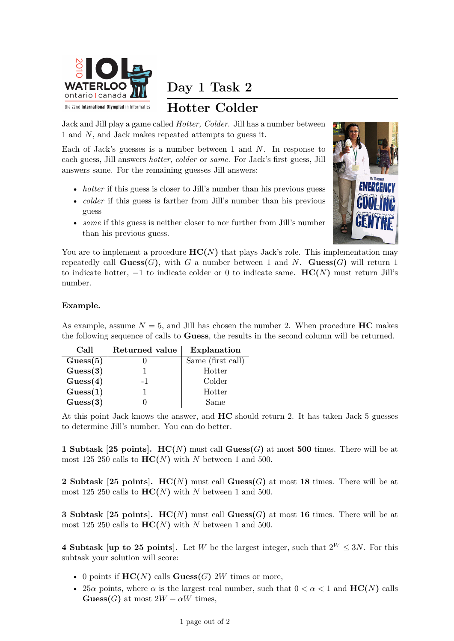

**Day 1 Task 2**

## **Hotter Colder**

Jack and Jill play a game called *Hotter, Colder*. Jill has a number between 1 and *N*, and Jack makes repeated attempts to guess it.

Each of Jack's guesses is a number between 1 and *N*. In response to each guess, Jill answers *hotter*, *colder* or *same*. For Jack's first guess, Jill answers same. For the remaining guesses Jill answers:

- *hotter* if this guess is closer to Jill's number than his previous guess
- *colder* if this guess is farther from Jill's number than his previous guess
- *same* if this guess is neither closer to nor further from Jill's number than his previous guess.



You are to implement a procedure  $HC(N)$  that plays Jack's role. This implementation may repeatedly call  $G$ **uess** $(G)$ , with  $G$  a number between 1 and  $N$ .  $G$ **uess** $(G)$  will return 1 to indicate hotter,  $-1$  to indicate colder or 0 to indicate same. **HC(***N*) must return Jill's number.

## **Example.**

As example, assume  $N = 5$ , and Jill has chosen the number 2. When procedure **HC** makes the following sequence of calls to **Guess**, the results in the second column will be returned.

| Call             | Returned value | Explanation       |
|------------------|----------------|-------------------|
| $\text{Guss}(5)$ |                | Same (first call) |
| $\text{Guss}(3)$ |                | Hotter            |
| $\text{Guss}(4)$ | $-1$           | Colder            |
| $\text{Guss}(1)$ |                | Hotter            |
| $\text{Guss}(3)$ |                | Same              |

At this point Jack knows the answer, and **HC** should return 2. It has taken Jack 5 guesses to determine Jill's number. You can do better.

**1 Subtask [25 points]. HC(***N***)** must call **Guess(***G***)** at most **500** times. There will be at most 125 250 calls to  $HC(N)$  with *N* between 1 and 500.

**2 Subtask [25 points]. HC(***N***)** must call **Guess(***G***)** at most **18** times. There will be at most 125 250 calls to  $HC(N)$  with *N* between 1 and 500.

**3 Subtask [25 points]. HC(***N***)** must call **Guess(***G***)** at most **16** times. There will be at most 125 250 calls to  $HC(N)$  with *N* between 1 and 500.

**4 Subtask [up to 25 points].** Let *W* be the largest integer, such that  $2^W \leq 3N$ . For this subtask your solution will score:

- 0 points if  $HC(N)$  calls  $Guess(G)$  2*W* times or more,
- 25 $\alpha$  points, where  $\alpha$  is the largest real number, such that  $0 < \alpha < 1$  and  $HC(N)$  calls **Guess**(*G***)** at most  $2W - \alpha W$  times,